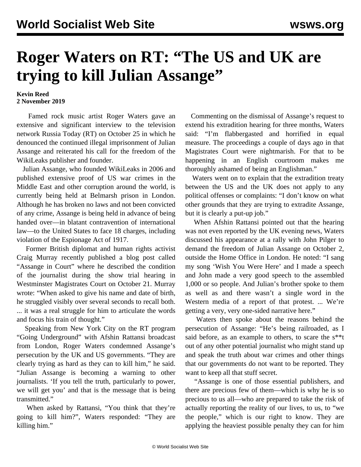## **Roger Waters on RT: "The US and UK are trying to kill Julian Assange"**

## **Kevin Reed 2 November 2019**

 Famed rock music artist Roger Waters gave an extensive and significant interview to the television network Russia Today (RT) on October 25 in which he denounced the continued illegal imprisonment of Julian Assange and reiterated his call for the freedom of the WikiLeaks publisher and founder.

 Julian Assange, who founded WikiLeaks in 2006 and published extensive proof of US war crimes in the Middle East and other corruption around the world, is currently being held at Belmarsh prison in London. Although he has broken no laws and not been convicted of any crime, Assange is being held in advance of being handed over—in blatant contravention of international law—to the United States to face 18 charges, including violation of the Espionage Act of 1917.

 Former British diplomat and human rights activist Craig Murray recently published a blog post called "Assange in Court" where he described the condition of the journalist during the show trial hearing in Westminster Magistrates Court on October 21. Murray wrote: "When asked to give his name and date of birth, he struggled visibly over several seconds to recall both. ... it was a real struggle for him to articulate the words and focus his train of thought."

 Speaking from New York City on the RT program "Going Underground" with Afshin Rattansi broadcast from London, Roger Waters condemned Assange's persecution by the UK and US governments. "They are clearly trying as hard as they can to kill him," he said. "Julian Assange is becoming a warning to other journalists. 'If you tell the truth, particularly to power, we will get you' and that is the message that is being transmitted."

 When asked by Rattansi, "You think that they're going to kill him?", Waters responded: "They are killing him."

 Commenting on the dismissal of Assange's request to extend his extradition hearing for three months, Waters said: "I'm flabbergasted and horrified in equal measure. The proceedings a couple of days ago in that Magistrates Court were nightmarish. For that to be happening in an English courtroom makes me thoroughly ashamed of being an Englishman."

 Waters went on to explain that the extradition treaty between the US and the UK does not apply to any political offenses or complaints: "I don't know on what other grounds that they are trying to extradite Assange, but it is clearly a put-up job."

 When Afshin Rattansi pointed out that the hearing was not even reported by the UK evening news, Waters discussed his appearance at a rally with John Pilger to demand the freedom of Julian Assange on October 2, outside the Home Office in London. He noted: "I sang my song 'Wish You Were Here' and I made a speech and John made a very good speech to the assembled 1,000 or so people. And Julian's brother spoke to them as well as and there wasn't a single word in the Western media of a report of that protest. ... We're getting a very, very one-sided narrative here."

 Waters then spoke about the reasons behind the persecution of Assange: "He's being railroaded, as I said before, as an example to others, to scare the s\*\*t out of any other potential journalist who might stand up and speak the truth about war crimes and other things that our governments do not want to be reported. They want to keep all that stuff secret.

 "Assange is one of those essential publishers, and there are precious few of them—which is why he is so precious to us all—who are prepared to take the risk of actually reporting the reality of our lives, to us, to "we the people," which is our right to know. They are applying the heaviest possible penalty they can for him